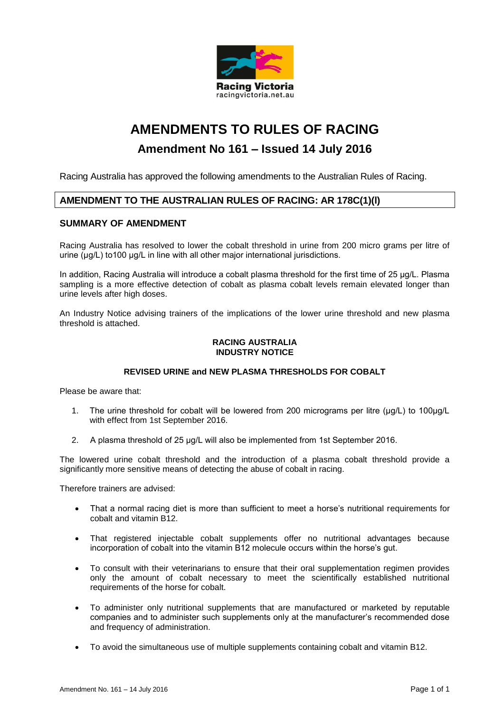

# **AMENDMENTS TO RULES OF RACING**

## **Amendment No 161 – Issued 14 July 2016**

Racing Australia has approved the following amendments to the Australian Rules of Racing.

## **AMENDMENT TO THE AUSTRALIAN RULES OF RACING: AR 178C(1)(l)**

## **SUMMARY OF AMENDMENT**

Racing Australia has resolved to lower the cobalt threshold in urine from 200 micro grams per litre of urine (μg/L) to100 μg/L in line with all other major international jurisdictions.

In addition, Racing Australia will introduce a cobalt plasma threshold for the first time of 25 μg/L. Plasma sampling is a more effective detection of cobalt as plasma cobalt levels remain elevated longer than urine levels after high doses.

An Industry Notice advising trainers of the implications of the lower urine threshold and new plasma threshold is attached.

#### **RACING AUSTRALIA INDUSTRY NOTICE**

## **REVISED URINE and NEW PLASMA THRESHOLDS FOR COBALT**

Please be aware that:

- 1. The urine threshold for cobalt will be lowered from 200 micrograms per litre (μg/L) to 100μg/L with effect from 1st September 2016.
- 2. A plasma threshold of 25 μg/L will also be implemented from 1st September 2016.

The lowered urine cobalt threshold and the introduction of a plasma cobalt threshold provide a significantly more sensitive means of detecting the abuse of cobalt in racing.

Therefore trainers are advised:

- That a normal racing diet is more than sufficient to meet a horse's nutritional requirements for cobalt and vitamin B12.
- That registered injectable cobalt supplements offer no nutritional advantages because incorporation of cobalt into the vitamin B12 molecule occurs within the horse's gut.
- To consult with their veterinarians to ensure that their oral supplementation regimen provides only the amount of cobalt necessary to meet the scientifically established nutritional requirements of the horse for cobalt.
- To administer only nutritional supplements that are manufactured or marketed by reputable companies and to administer such supplements only at the manufacturer's recommended dose and frequency of administration.
- To avoid the simultaneous use of multiple supplements containing cobalt and vitamin B12.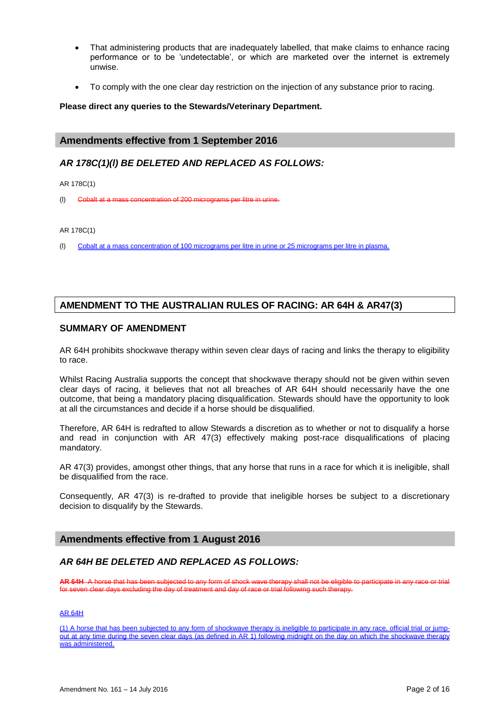- That administering products that are inadequately labelled, that make claims to enhance racing performance or to be 'undetectable', or which are marketed over the internet is extremely unwise.
- To comply with the one clear day restriction on the injection of any substance prior to racing.

#### **Please direct any queries to the Stewards/Veterinary Department.**

## **Amendments effective from 1 September 2016**

## *AR 178C(1)(l) BE DELETED AND REPLACED AS FOLLOWS:*

AR 178C(1)

(l) Cobalt at a mass concentration of 200 micrograms per litre in urine.

#### AR 178C(1)

(l) Cobalt at a mass concentration of 100 micrograms per litre in urine or 25 micrograms per litre in plasma.

## **AMENDMENT TO THE AUSTRALIAN RULES OF RACING: AR 64H & AR47(3)**

## **SUMMARY OF AMENDMENT**

AR 64H prohibits shockwave therapy within seven clear days of racing and links the therapy to eligibility to race.

Whilst Racing Australia supports the concept that shockwave therapy should not be given within seven clear days of racing, it believes that not all breaches of AR 64H should necessarily have the one outcome, that being a mandatory placing disqualification. Stewards should have the opportunity to look at all the circumstances and decide if a horse should be disqualified.

Therefore, AR 64H is redrafted to allow Stewards a discretion as to whether or not to disqualify a horse and read in conjunction with AR 47(3) effectively making post-race disqualifications of placing mandatory.

AR 47(3) provides, amongst other things, that any horse that runs in a race for which it is ineligible, shall be disqualified from the race.

Consequently, AR 47(3) is re-drafted to provide that ineligible horses be subject to a discretionary decision to disqualify by the Stewards.

## **Amendments effective from 1 August 2016**

## *AR 64H BE DELETED AND REPLACED AS FOLLOWS:*

**AR 64H** A horse that has been subjected to any form of shock wave therapy shall not be eligible to participate in any race or trial for seven clear days excluding the day of treatment and day of race or trial following such therapy.

#### AR 64H

(1) A horse that has been subjected to any form of shockwave therapy is ineligible to participate in any race, official trial or jumpout at any time during the seven clear days (as defined in AR 1) following midnight on the day on which the shockwave therapy was administered.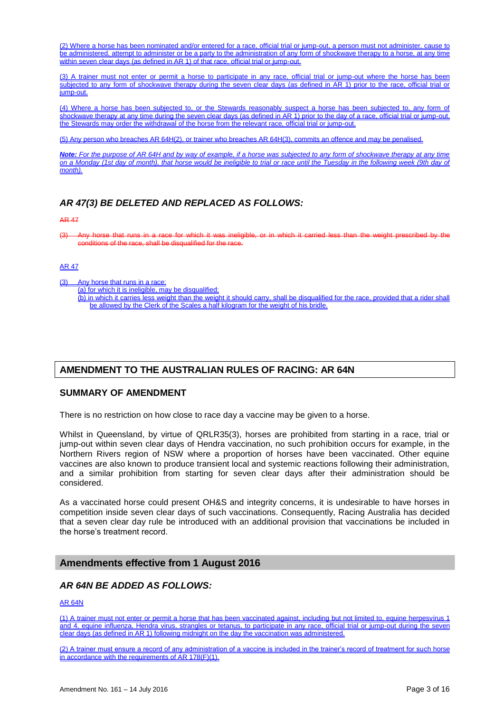(2) Where a horse has been nominated and/or entered for a race, official trial or jump-out, a person must not administer, cause to be administered, attempt to administer or be a party to the administration of any form of shockwave therapy to a horse, at any time within seven clear days (as defined in AR 1) of that race, official trial or jump-out.

(3) A trainer must not enter or permit a horse to participate in any race, official trial or jump-out where the horse has been subjected to any form of shockwave therapy during the seven clear days (as defined in AR 1) prior to the race, official trial or jump-out.

(4) Where a horse has been subjected to, or the Stewards reasonably suspect a horse has been subjected to, any form of shockwave therapy at any time during the seven clear days (as defined in AR 1) prior to the day of a race, official trial or jump-out, the Stewards may order the withdrawal of the horse from the relevant race, official trial or jump-out.

(5) Any person who breaches AR 64H(2), or trainer who breaches AR 64H(3), commits an offence and may be penalised.

*Note: For the purpose of AR 64H and by way of example, if a horse was subjected to any form of shockwave therapy at any time on a Monday (1st day of month), that horse would be ineligible to trial or race until the Tuesday in the following week (9th day of month).*

## *AR 47(3) BE DELETED AND REPLACED AS FOLLOWS:*

#### AR 47

(3) Any horse that runs in a race for which it was ineligible, or in which it carried less than the weight prescribed by the  $\overline{\phantom{a}}$  ditions of the race, shall be disqualified for the race.

#### AR 47

- (3) Any horse that runs in a race:
	- (a) for which it is ineligible, may be disqualified; (b) in which it carries less weight than the weight it should carry, shall be disqualified for the race, provided that a rider shall
		- be allowed by the Clerk of the Scales a half kilogram for the weight of his bridle.

## **AMENDMENT TO THE AUSTRALIAN RULES OF RACING: AR 64N**

## **SUMMARY OF AMENDMENT**

There is no restriction on how close to race day a vaccine may be given to a horse.

Whilst in Queensland, by virtue of QRLR35(3), horses are prohibited from starting in a race, trial or jump-out within seven clear days of Hendra vaccination, no such prohibition occurs for example, in the Northern Rivers region of NSW where a proportion of horses have been vaccinated. Other equine vaccines are also known to produce transient local and systemic reactions following their administration, and a similar prohibition from starting for seven clear days after their administration should be considered.

As a vaccinated horse could present OH&S and integrity concerns, it is undesirable to have horses in competition inside seven clear days of such vaccinations. Consequently, Racing Australia has decided that a seven clear day rule be introduced with an additional provision that vaccinations be included in the horse's treatment record.

#### **Amendments effective from 1 August 2016**

## *AR 64N BE ADDED AS FOLLOWS:*

#### AR 64N

(1) A trainer must not enter or permit a horse that has been vaccinated against, including but not limited to, equine herpesvirus 1 and 4, equine influenza, Hendra virus, strangles or tetanus, to participate in any race, official trial or jump-out during the seven clear days (as defined in AR 1) following midnight on the day the vaccination was administered.

(2) A trainer must ensure a record of any administration of a vaccine is included in the trainer's record of treatment for such horse in accordance with the requirements of AR 178(F)(1).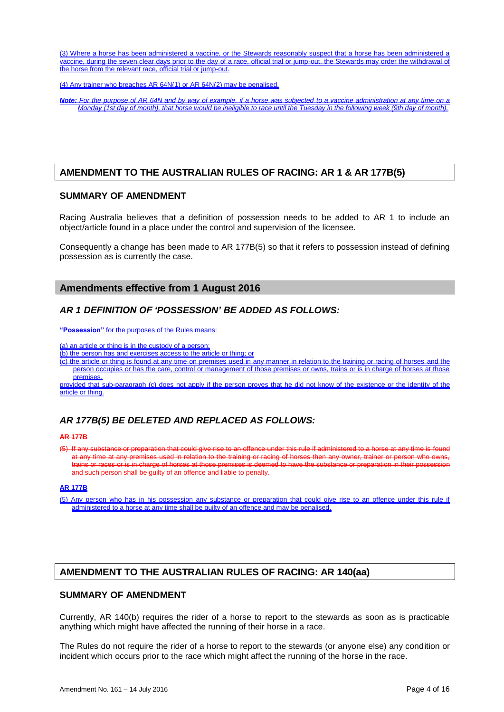(3) Where a horse has been administered a vaccine, or the Stewards reasonably suspect that a horse has been administered a vaccine, during the seven clear days prior to the day of a race, official trial or jump-out, the Stewards may order the withdrawal of the horse from the relevant race, official trial or jump-out.

(4) Any trainer who breaches AR 64N(1) or AR 64N(2) may be penalised.

*Note: For the purpose of AR 64N and by way of example, if a horse was subjected to a vaccine administration at any time on a Monday (1st day of month), that horse would be ineligible to race until the Tuesday in the following week (9th day of month).*

#### **AMENDMENT TO THE AUSTRALIAN RULES OF RACING: AR 1 & AR 177B(5)**

#### **SUMMARY OF AMENDMENT**

Racing Australia believes that a definition of possession needs to be added to AR 1 to include an object/article found in a place under the control and supervision of the licensee.

Consequently a change has been made to AR 177B(5) so that it refers to possession instead of defining possession as is currently the case.

#### **Amendments effective from 1 August 2016**

#### *AR 1 DEFINITION OF 'POSSESSION' BE ADDED AS FOLLOWS:*

**"Possession"** for the purposes of the Rules means:

(a) an article or thing is in the custody of a person;

(b) the person has and exercises access to the article or thing; or

(c) the article or thing is found at any time on premises used in any manner in relation to the training or racing of horses and the person occupies or has the care, control or management of those premises or owns, trains or is in charge of horses at those premises,

provided that sub-paragraph (c) does not apply if the person proves that he did not know of the existence or the identity of the article or thing.

## *AR 177B(5) BE DELETED AND REPLACED AS FOLLOWS:*

#### **AR 177B**

(5) If any substance or preparation that could give rise to an offence under this rule if administered to a horse at any time is found at any time at any premises used in relation to the training or racing of horses then any owner, trainer or person who owns, trains or races or is in charge of horses at those premises is deemed to have the substance or preparation in their possession and such person shall be guilty of an offence and liable to penalty.

#### **AR 177B**

(5) Any person who has in his possession any substance or preparation that could give rise to an offence under this rule if administered to a horse at any time shall be guilty of an offence and may be penalised.

## **AMENDMENT TO THE AUSTRALIAN RULES OF RACING: AR 140(aa)**

#### **SUMMARY OF AMENDMENT**

Currently, AR 140(b) requires the rider of a horse to report to the stewards as soon as is practicable anything which might have affected the running of their horse in a race.

The Rules do not require the rider of a horse to report to the stewards (or anyone else) any condition or incident which occurs prior to the race which might affect the running of the horse in the race.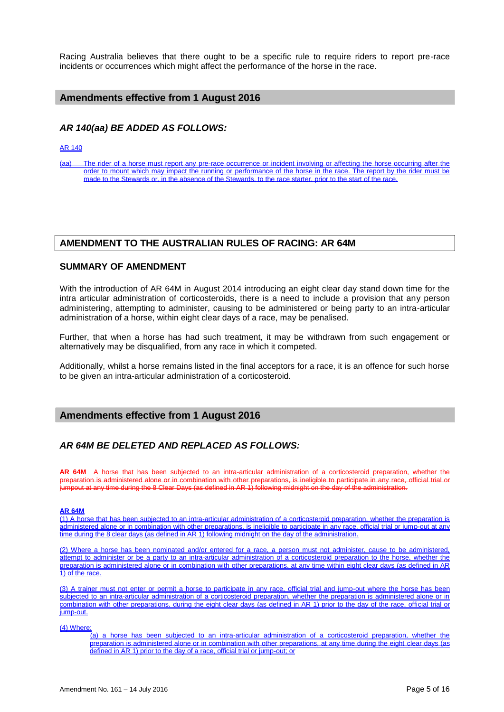Racing Australia believes that there ought to be a specific rule to require riders to report pre-race incidents or occurrences which might affect the performance of the horse in the race.

## **Amendments effective from 1 August 2016**

## *AR 140(aa) BE ADDED AS FOLLOWS:*

AR 140

(aa) The rider of a horse must report any pre-race occurrence or incident involving or affecting the horse occurring after the order to mount which may impact the running or performance of the horse in the race. The report by the rider must be made to the Stewards or, in the absence of the Stewards, to the race starter, prior to the start of the race.

#### **AMENDMENT TO THE AUSTRALIAN RULES OF RACING: AR 64M**

#### **SUMMARY OF AMENDMENT**

With the introduction of AR 64M in August 2014 introducing an eight clear day stand down time for the intra articular administration of corticosteroids, there is a need to include a provision that any person administering, attempting to administer, causing to be administered or being party to an intra-articular administration of a horse, within eight clear days of a race, may be penalised.

Further, that when a horse has had such treatment, it may be withdrawn from such engagement or alternatively may be disqualified, from any race in which it competed.

Additionally, whilst a horse remains listed in the final acceptors for a race, it is an offence for such horse to be given an intra-articular administration of a corticosteroid.

## **Amendments effective from 1 August 2016**

## *AR 64M BE DELETED AND REPLACED AS FOLLOWS:*

**AR 64M** A horse that has been subjected to an intra-articular administration of a corticosteroid preparation, whether the preparation is administered alone or in combination with other preparations, is ineligible to participate in any race, official trial or jumpout at any time during the 8 Clear Days (as defined in AR 1) following midnight on the day of the administration.

#### **AR 64M**

(1) A horse that has been subjected to an intra-articular administration of a corticosteroid preparation, whether the preparation is administered alone or in combination with other preparations, is ineligible to participate in any race, official trial or jump-out at any time during the 8 clear days (as defined in AR 1) following midnight on the day of the administration.

(2) Where a horse has been nominated and/or entered for a race, a person must not administer, cause to be administered, attempt to administer or be a party to an intra-articular administration of a corticosteroid preparation to the horse, whether the preparation is administered alone or in combination with other preparations, at any time within eight clear days (as defined in AR 1) of the race.

A trainer must not enter or permit a horse to participate in any race, official trial and jump-out where the horse has subjected to an intra-articular administration of a corticosteroid preparation, whether the preparation is administered alone or in combination with other preparations, during the eight clear days (as defined in AR 1) prior to the day of the race, official trial or iump-out.

(4) Where:

(a) a horse has been subjected to an intra-articular administration of a corticosteroid preparation, whether the preparation is administered alone or in combination with other preparations, at any time during the eight clear days (as defined in AR 1) prior to the day of a race, official trial or jump-out; or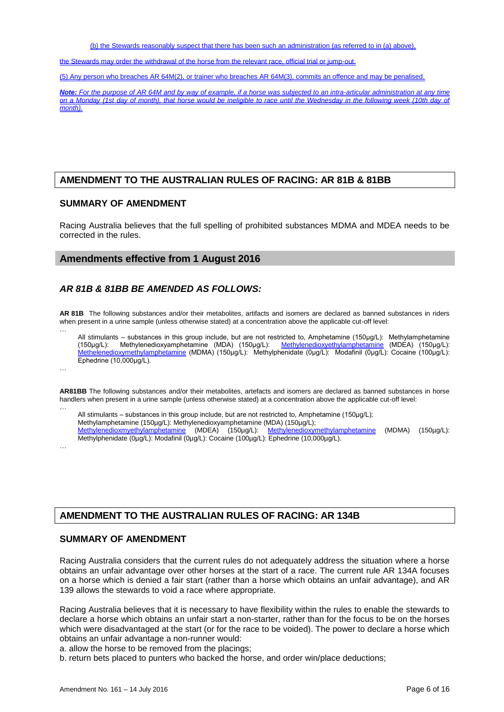(b) the Stewards reasonably suspect that there has been such an administration (as referred to in (a) above),

the Stewards may order the withdrawal of the horse from the relevant race, official trial or jump-out.

(5) Any person who breaches AR 64M(2), or trainer who breaches AR 64M(3), commits an offence and may be penalised.

*Note: For the purpose of AR 64M and by way of example, if a horse was subjected to an intra-articular administration at any time on a Monday (1st day of month), that horse would be ineligible to race until the Wednesday in the following week (10th day of month).*

## **AMENDMENT TO THE AUSTRALIAN RULES OF RACING: AR 81B & 81BB**

#### **SUMMARY OF AMENDMENT**

Racing Australia believes that the full spelling of prohibited substances MDMA and MDEA needs to be corrected in the rules.

#### **Amendments effective from 1 August 2016**

#### *AR 81B & 81BB BE AMENDED AS FOLLOWS:*

**AR 81B** The following substances and/or their metabolites, artifacts and isomers are declared as banned substances in riders when present in a urine sample (unless otherwise stated) at a concentration above the applicable cut-off level:

… All stimulants – substances in this group include, but are not restricted to, Amphetamine (150μg/L): Methylamphetamine (150μg/L): Methylenedioxyamphetamine (MDA) (150μg/L): Methylenedioxyethylamphetamine (MDEA) (150μg/L): Methelenedioxymethylamphetamine (MDMA) (150μg/L): Methylphenidate (0μg/L): Modafinil (0μg/L): Cocaine (100μg/L): Ephedrine (10,000μg/L).

…

**AR81BB** The following substances and/or their metabolites, artefacts and isomers are declared as banned substances in horse handlers when present in a urine sample (unless otherwise stated) at a concentration above the applicable cut-off level:

… All stimulants – substances in this group include, but are not restricted to, Amphetamine (150μg/L); Methylamphetamine (150µg/L): Methylenedioxyamphetamine (MDA) (150µg/L);<br>
Methylenedioxmyethylamphetamine (MDEA) (150µg/L): Methylenedioxyr Methylenedioxymethylamphetamine (MDMA) (150µg/L): Methylphenidate (0µg/L): Modafinil (0µg/L): Cocaine (100µg/L): Ephedrine (10,000µg/L).

…

## **AMENDMENT TO THE AUSTRALIAN RULES OF RACING: AR 134B**

#### **SUMMARY OF AMENDMENT**

Racing Australia considers that the current rules do not adequately address the situation where a horse obtains an unfair advantage over other horses at the start of a race. The current rule AR 134A focuses on a horse which is denied a fair start (rather than a horse which obtains an unfair advantage), and AR 139 allows the stewards to void a race where appropriate.

Racing Australia believes that it is necessary to have flexibility within the rules to enable the stewards to declare a horse which obtains an unfair start a non-starter, rather than for the focus to be on the horses which were disadvantaged at the start (or for the race to be voided). The power to declare a horse which obtains an unfair advantage a non-runner would:

a. allow the horse to be removed from the placings;

b. return bets placed to punters who backed the horse, and order win/place deductions;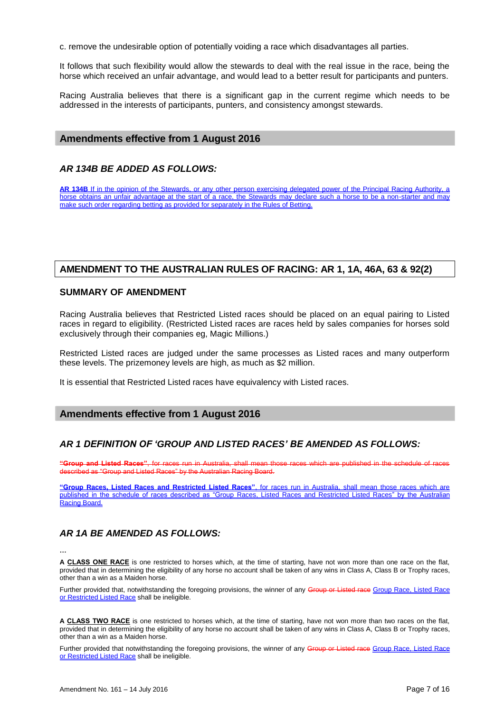c. remove the undesirable option of potentially voiding a race which disadvantages all parties.

It follows that such flexibility would allow the stewards to deal with the real issue in the race, being the horse which received an unfair advantage, and would lead to a better result for participants and punters.

Racing Australia believes that there is a significant gap in the current regime which needs to be addressed in the interests of participants, punters, and consistency amongst stewards.

#### **Amendments effective from 1 August 2016**

#### *AR 134B BE ADDED AS FOLLOWS:*

**AR 134B** If in the opinion of the Stewards, or any other person exercising delegated power of the Principal Racing Authority, a horse obtains an unfair advantage at the start of a race, the Stewards may declare such a horse to be a non-starter and may make such order regarding betting as provided for separately in the Rules of Betting.

#### **AMENDMENT TO THE AUSTRALIAN RULES OF RACING: AR 1, 1A, 46A, 63 & 92(2)**

#### **SUMMARY OF AMENDMENT**

Racing Australia believes that Restricted Listed races should be placed on an equal pairing to Listed races in regard to eligibility. (Restricted Listed races are races held by sales companies for horses sold exclusively through their companies eg, Magic Millions.)

Restricted Listed races are judged under the same processes as Listed races and many outperform these levels. The prizemoney levels are high, as much as \$2 million.

It is essential that Restricted Listed races have equivalency with Listed races.

#### **Amendments effective from 1 August 2016**

#### *AR 1 DEFINITION OF 'GROUP AND LISTED RACES' BE AMENDED AS FOLLOWS:*

**"Group and Listed Races"**, for races run in Australia, shall mean those races which are published in the schedule of races described as "Group and Listed Races" by the Australian Racing Board.

**"Group Races, Listed Races and Restricted Listed Races"**, for races run in Australia, shall mean those races which are published in the schedule of races described as "Group Races, Listed Races and Restricted Listed Races" by the Australian Racing Board.

#### *AR 1A BE AMENDED AS FOLLOWS:*

**…**

**A CLASS ONE RACE** is one restricted to horses which, at the time of starting, have not won more than one race on the flat, provided that in determining the eligibility of any horse no account shall be taken of any wins in Class A, Class B or Trophy races, other than a win as a Maiden horse.

Further provided that, notwithstanding the foregoing provisions, the winner of any Group or Listed race Group Race, Listed Race or Restricted Listed Race shall be ineligible.

**A CLASS TWO RACE** is one restricted to horses which, at the time of starting, have not won more than two races on the flat, provided that in determining the eligibility of any horse no account shall be taken of any wins in Class A, Class B or Trophy races, other than a win as a Maiden horse.

Further provided that notwithstanding the foregoing provisions, the winner of any Group or Listed race Group Race, Listed Race or Restricted Listed Race shall be ineligible.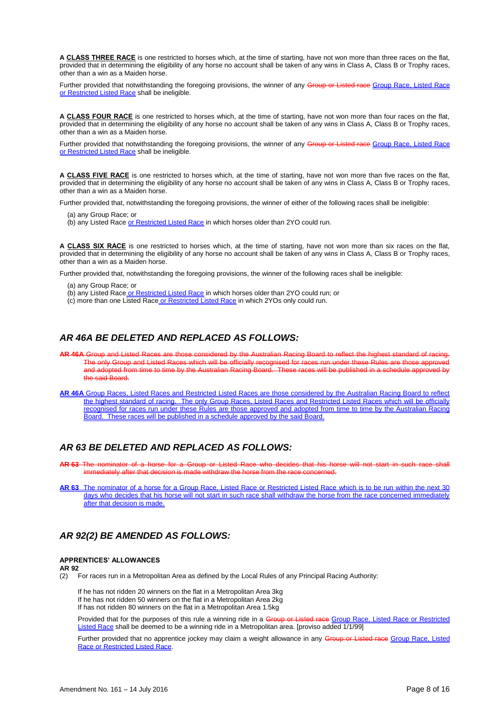**A CLASS THREE RACE** is one restricted to horses which, at the time of starting, have not won more than three races on the flat, provided that in determining the eligibility of any horse no account shall be taken of any wins in Class A, Class B or Trophy races, other than a win as a Maiden horse.

Further provided that notwithstanding the foregoing provisions, the winner of any Group or Listed race Group Race, Listed Race or Restricted Listed Race shall be ineligible.

**A CLASS FOUR RACE** is one restricted to horses which, at the time of starting, have not won more than four races on the flat, provided that in determining the eligibility of any horse no account shall be taken of any wins in Class A, Class B or Trophy races, other than a win as a Maiden horse.

Further provided that notwithstanding the foregoing provisions, the winner of any Group or Listed race Group Race, Listed Race or Restricted Listed Race shall be ineligible.

**A CLASS FIVE RACE** is one restricted to horses which, at the time of starting, have not won more than five races on the flat, provided that in determining the eligibility of any horse no account shall be taken of any wins in Class A, Class B or Trophy races, other than a win as a Maiden horse.

Further provided that, notwithstanding the foregoing provisions, the winner of either of the following races shall be ineligible:

- (a) any Group Race; or
- (b) any Listed Race or Restricted Listed Race in which horses older than 2YO could run.

**A CLASS SIX RACE** is one restricted to horses which, at the time of starting, have not won more than six races on the flat, provided that in determining the eligibility of any horse no account shall be taken of any wins in Class A, Class B or Trophy races, other than a win as a Maiden horse.

Further provided that, notwithstanding the foregoing provisions, the winner of the following races shall be ineligible:

- (a) any Group Race; or
- (b) any Listed Race or Restricted Listed Race in which horses older than 2YO could run; or
- (c) more than one Listed Race or Restricted Listed Race in which 2YOs only could run.

#### *AR 46A BE DELETED AND REPLACED AS FOLLOWS:*

- **AR 46A** Group and Listed Races are those considered by the Australian Racing Board to reflect the highest standard of racing. only Group and Listed Races which will be officially recognised for races run under these Rules and adopted from time to time by the Australian Racing Board. These races will be published in a schedule approved by the said Board.
- **AR 46A** Group Races, Listed Races and Restricted Listed Races are those considered by the Australian Racing Board to reflect the highest standard of racing. The only Group Races, Listed Races and Restricted Listed Races which will be officially recognised for races run under these Rules are those approved and adopted from time to time by the Australian Racing Board. These races will be published in a schedule approved by the said Board.

#### *AR 63 BE DELETED AND REPLACED AS FOLLOWS:*

**AR 63** The nominator of a horse for a Group or Listed Race who decides that his horse will not start in such race shall immediately after that decision is made withdraw the horse from the race concerned.

**AR 63** The nominator of a horse for a Group Race, Listed Race or Restricted Listed Race which is to be run within the next 30 days who decides that his horse will not start in such race shall withdraw the horse from the race concerned immediately after that decision is made.

## *AR 92(2) BE AMENDED AS FOLLOWS:*

#### **APPRENTICES' ALLOWANCES**

**AR 92** 

(2) For races run in a Metropolitan Area as defined by the Local Rules of any Principal Racing Authority:

If he has not ridden 20 winners on the flat in a Metropolitan Area 3kg If he has not ridden 50 winners on the flat in a Metropolitan Area 2kg If has not ridden 80 winners on the flat in a Metropolitan Area 1.5kg

Provided that for the purposes of this rule a winning ride in a Group or Listed race Group Race, Listed Race or Restricted Listed Race shall be deemed to be a winning ride in a Metropolitan area. [proviso added 1/1/99]

Further provided that no apprentice jockey may claim a weight allowance in any Group or Listed race Group Race, Listed Race or Restricted Listed Race.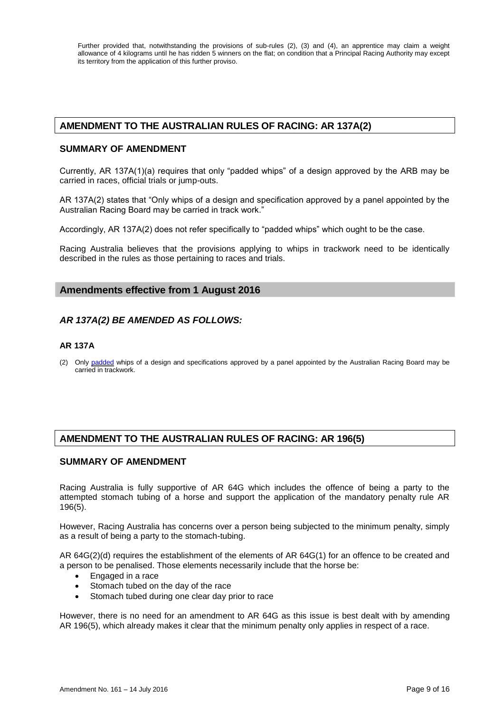Further provided that, notwithstanding the provisions of sub-rules (2), (3) and (4), an apprentice may claim a weight allowance of 4 kilograms until he has ridden 5 winners on the flat; on condition that a Principal Racing Authority may except its territory from the application of this further proviso.

## **AMENDMENT TO THE AUSTRALIAN RULES OF RACING: AR 137A(2)**

#### **SUMMARY OF AMENDMENT**

Currently, AR 137A(1)(a) requires that only "padded whips" of a design approved by the ARB may be carried in races, official trials or jump-outs.

AR 137A(2) states that "Only whips of a design and specification approved by a panel appointed by the Australian Racing Board may be carried in track work."

Accordingly, AR 137A(2) does not refer specifically to "padded whips" which ought to be the case.

Racing Australia believes that the provisions applying to whips in trackwork need to be identically described in the rules as those pertaining to races and trials.

## **Amendments effective from 1 August 2016**

## *AR 137A(2) BE AMENDED AS FOLLOWS:*

#### **AR 137A**

(2) Only padded whips of a design and specifications approved by a panel appointed by the Australian Racing Board may be carried in trackwork.

## **AMENDMENT TO THE AUSTRALIAN RULES OF RACING: AR 196(5)**

#### **SUMMARY OF AMENDMENT**

Racing Australia is fully supportive of AR 64G which includes the offence of being a party to the attempted stomach tubing of a horse and support the application of the mandatory penalty rule AR 196(5).

However, Racing Australia has concerns over a person being subjected to the minimum penalty, simply as a result of being a party to the stomach-tubing.

AR 64G(2)(d) requires the establishment of the elements of AR 64G(1) for an offence to be created and a person to be penalised. Those elements necessarily include that the horse be:

- Engaged in a race
- Stomach tubed on the day of the race
- Stomach tubed during one clear day prior to race

However, there is no need for an amendment to AR 64G as this issue is best dealt with by amending AR 196(5), which already makes it clear that the minimum penalty only applies in respect of a race.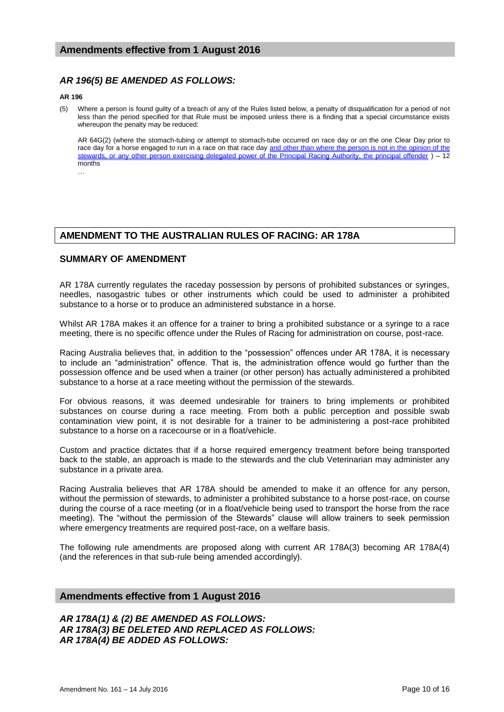## *AR 196(5) BE AMENDED AS FOLLOWS:*

#### **AR 196**

(5) Where a person is found guilty of a breach of any of the Rules listed below, a penalty of disqualification for a period of not less than the period specified for that Rule must be imposed unless there is a finding that a special circumstance exists whereupon the penalty may be reduced:

AR 64G(2) (where the stomach-tubing or attempt to stomach-tube occurred on race day or on the one Clear Day prior to race day for a horse engaged to run in a race on that race day <u>and other than where the person is not in the opinion of the</u> stewards, or any other person exercising delegated power of the Principal Racing Authority, the principal offender ) – 12 months

…

## **AMENDMENT TO THE AUSTRALIAN RULES OF RACING: AR 178A**

#### **SUMMARY OF AMENDMENT**

AR 178A currently regulates the raceday possession by persons of prohibited substances or syringes, needles, nasogastric tubes or other instruments which could be used to administer a prohibited substance to a horse or to produce an administered substance in a horse.

Whilst AR 178A makes it an offence for a trainer to bring a prohibited substance or a syringe to a race meeting, there is no specific offence under the Rules of Racing for administration on course, post-race.

Racing Australia believes that, in addition to the "possession" offences under AR 178A, it is necessary to include an "administration" offence. That is, the administration offence would go further than the possession offence and be used when a trainer (or other person) has actually administered a prohibited substance to a horse at a race meeting without the permission of the stewards.

For obvious reasons, it was deemed undesirable for trainers to bring implements or prohibited substances on course during a race meeting. From both a public perception and possible swab contamination view point, it is not desirable for a trainer to be administering a post-race prohibited substance to a horse on a racecourse or in a float/vehicle.

Custom and practice dictates that if a horse required emergency treatment before being transported back to the stable, an approach is made to the stewards and the club Veterinarian may administer any substance in a private area.

Racing Australia believes that AR 178A should be amended to make it an offence for any person, without the permission of stewards, to administer a prohibited substance to a horse post-race, on course during the course of a race meeting (or in a float/vehicle being used to transport the horse from the race meeting). The "without the permission of the Stewards" clause will allow trainers to seek permission where emergency treatments are required post-race, on a welfare basis.

The following rule amendments are proposed along with current AR 178A(3) becoming AR 178A(4) (and the references in that sub-rule being amended accordingly).

## **Amendments effective from 1 August 2016**

*AR 178A(1) & (2) BE AMENDED AS FOLLOWS: AR 178A(3) BE DELETED AND REPLACED AS FOLLOWS: AR 178A(4) BE ADDED AS FOLLOWS:*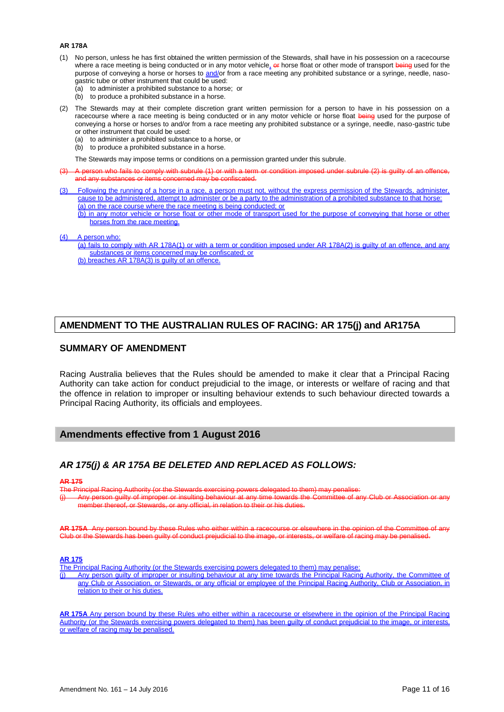#### **AR 178A**

- (1) No person, unless he has first obtained the written permission of the Stewards, shall have in his possession on a racecourse where a race meeting is being conducted or in any motor vehicle<sub>\*</sub> or horse float or other mode of transport being used for the purpose of conveying a horse or horses to and/or from a race meeting any prohibited substance or a syringe, needle, nasogastric tube or other instrument that could be used:
	- (a) to administer a prohibited substance to a horse; or
	- (b) to produce a prohibited substance in a horse.
- (2) The Stewards may at their complete discretion grant written permission for a person to have in his possession on a racecourse where a race meeting is being conducted or in any motor vehicle or horse float being used for the purpose of conveying a horse or horses to and/or from a race meeting any prohibited substance or a syringe, needle, naso-gastric tube or other instrument that could be used:
	- (a) to administer a prohibited substance to a horse, or
	- (b) to produce a prohibited substance in a horse.

The Stewards may impose terms or conditions on a permission granted under this subrule.

- A person who fails to comply with subrule (1) or with a term or condition imposed under subrule (2) is guilty of an offence, and any substances or items concerned may be confiscated.
- (3) Following the running of a horse in a race, a person must not, without the express permission of the Stewards, administer, cause to be administered, attempt to administer or be a party to the administration of a prohibited substance to that horse: (a) on the race course where the race meeting is being conducted; or
	- (b) in any motor vehicle or horse float or other mode of transport used for the purpose of conveying that horse or other horses from the race meeting.
- A person who:
	- (a) fails to comply with AR 178A(1) or with a term or condition imposed under AR 178A(2) is guilty of an offence, and any substances or items concerned may be confiscated; or
	- (b) breaches AR 178A(3) is guilty of an offence.

#### **AMENDMENT TO THE AUSTRALIAN RULES OF RACING: AR 175(j) and AR175A**

#### **SUMMARY OF AMENDMENT**

Racing Australia believes that the Rules should be amended to make it clear that a Principal Racing Authority can take action for conduct prejudicial to the image, or interests or welfare of racing and that the offence in relation to improper or insulting behaviour extends to such behaviour directed towards a Principal Racing Authority, its officials and employees.

#### **Amendments effective from 1 August 2016**

## *AR 175(j) & AR 175A BE DELETED AND REPLACED AS FOLLOWS:*

#### **AR 175**

ipal Racing Authority (or the Stewards exercising powers delegated to them) may per

Any person guilty of improper or insulting behaviour at any time towards the Committee of any Club or er thereof, or Stewards, or any official, in relation to their or his duties.

AR 175A Any person bound by these Rules who either within a racecourse or elsewhere in the opinion of the Con Club or the Stewards has been guilty of conduct prejudicial to the image, or interests, or welfare of racing may be penalised.

#### **AR 175**

The Principal Racing Authority (or the Stewards exercising powers delegated to them) may penalise:

Any person guilty of improper or insulting behaviour at any time towards the Principal Racing Authority, the Committee of any Club or Association, or Stewards, or any official or employee of the Principal Racing Authority, Club or Association, in relation to their or his duties.

**AR 175A** Any person bound by these Rules who either within a racecourse or elsewhere in the opinion of the Principal Racing Authority (or the Stewards exercising powers delegated to them) has been guilty of conduct prejudicial to the image, or interests, or welfare of racing may be penalised.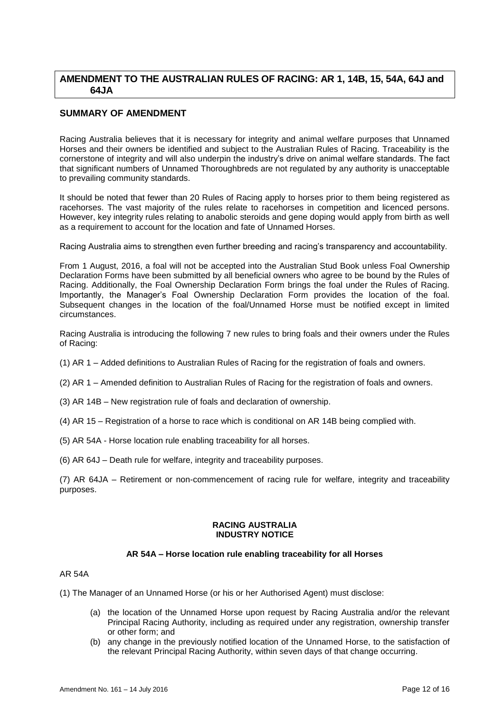## **AMENDMENT TO THE AUSTRALIAN RULES OF RACING: AR 1, 14B, 15, 54A, 64J and 64JA**

## **SUMMARY OF AMENDMENT**

Racing Australia believes that it is necessary for integrity and animal welfare purposes that Unnamed Horses and their owners be identified and subject to the Australian Rules of Racing. Traceability is the cornerstone of integrity and will also underpin the industry's drive on animal welfare standards. The fact that significant numbers of Unnamed Thoroughbreds are not regulated by any authority is unacceptable to prevailing community standards.

It should be noted that fewer than 20 Rules of Racing apply to horses prior to them being registered as racehorses. The vast majority of the rules relate to racehorses in competition and licenced persons. However, key integrity rules relating to anabolic steroids and gene doping would apply from birth as well as a requirement to account for the location and fate of Unnamed Horses.

Racing Australia aims to strengthen even further breeding and racing's transparency and accountability.

From 1 August, 2016, a foal will not be accepted into the Australian Stud Book unless Foal Ownership Declaration Forms have been submitted by all beneficial owners who agree to be bound by the Rules of Racing. Additionally, the Foal Ownership Declaration Form brings the foal under the Rules of Racing. Importantly, the Manager's Foal Ownership Declaration Form provides the location of the foal. Subsequent changes in the location of the foal/Unnamed Horse must be notified except in limited circumstances.

Racing Australia is introducing the following 7 new rules to bring foals and their owners under the Rules of Racing:

- (1) AR 1 Added definitions to Australian Rules of Racing for the registration of foals and owners.
- (2) AR 1 Amended definition to Australian Rules of Racing for the registration of foals and owners.
- (3) AR 14B New registration rule of foals and declaration of ownership.
- (4) AR 15 Registration of a horse to race which is conditional on AR 14B being complied with.
- (5) AR 54A Horse location rule enabling traceability for all horses.
- (6) AR 64J Death rule for welfare, integrity and traceability purposes.

(7) AR 64JA – Retirement or non-commencement of racing rule for welfare, integrity and traceability purposes.

#### **RACING AUSTRALIA INDUSTRY NOTICE**

#### **AR 54A – Horse location rule enabling traceability for all Horses**

#### AR 54A

- (1) The Manager of an Unnamed Horse (or his or her Authorised Agent) must disclose:
	- (a) the location of the Unnamed Horse upon request by Racing Australia and/or the relevant Principal Racing Authority, including as required under any registration, ownership transfer or other form; and
	- (b) any change in the previously notified location of the Unnamed Horse, to the satisfaction of the relevant Principal Racing Authority, within seven days of that change occurring.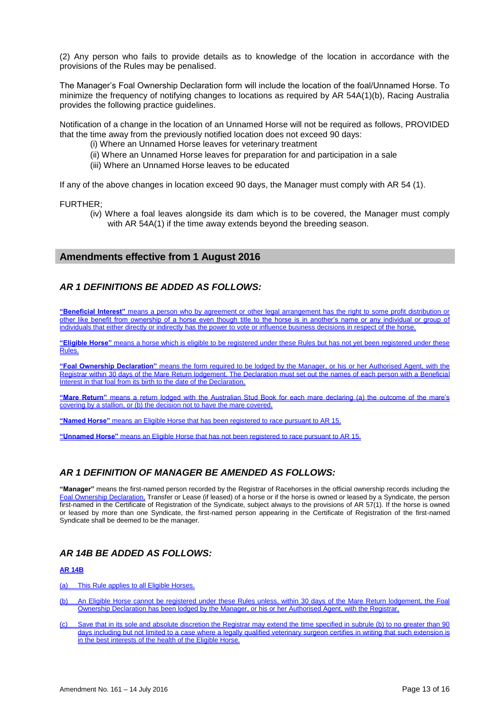(2) Any person who fails to provide details as to knowledge of the location in accordance with the provisions of the Rules may be penalised.

The Manager's Foal Ownership Declaration form will include the location of the foal/Unnamed Horse. To minimize the frequency of notifying changes to locations as required by AR 54A(1)(b), Racing Australia provides the following practice guidelines.

Notification of a change in the location of an Unnamed Horse will not be required as follows, PROVIDED that the time away from the previously notified location does not exceed 90 days:

- (i) Where an Unnamed Horse leaves for veterinary treatment
- (ii) Where an Unnamed Horse leaves for preparation for and participation in a sale
- (iii) Where an Unnamed Horse leaves to be educated

If any of the above changes in location exceed 90 days, the Manager must comply with AR 54 (1).

FURTHER;

(iv) Where a foal leaves alongside its dam which is to be covered, the Manager must comply with AR 54A(1) if the time away extends beyond the breeding season.

#### **Amendments effective from 1 August 2016**

## *AR 1 DEFINITIONS BE ADDED AS FOLLOWS:*

**"Beneficial Interest"** means a person who by agreement or other legal arrangement has the right to some profit distribution or other like benefit from ownership of a horse even though title to the horse is in another's name or any individual or group of individuals that either directly or indirectly has the power to vote or influence business decisions in respect of the horse.

**"Eligible Horse"** means a horse which is eligible to be registered under these Rules but has not yet been registered under these Rules.

**"Foal Ownership Declaration"** means the form required to be lodged by the Manager, or his or her Authorised Agent, with the Registrar within 30 days of the Mare Return lodgement. The Declaration must set out the names of each person with a Beneficial Interest in that foal from its birth to the date of the Declaration.

**"Mare Return"** means a return lodged with the Australian Stud Book for each mare declaring (a) the outcome of the mare's covering by a stallion, or (b) the decision not to have the mare covered.

**"Named Horse"** means an Eligible Horse that has been registered to race pursuant to AR 15.

**"Unnamed Horse"** means an Eligible Horse that has not been registered to race pursuant to AR 15.

## *AR 1 DEFINITION OF MANAGER BE AMENDED AS FOLLOWS:*

**"Manager"** means the first-named person recorded by the Registrar of Racehorses in the official ownership records including the Foal Ownership Declaration, Transfer or Lease (if leased) of a horse or if the horse is owned or leased by a Syndicate, the person first-named in the Certificate of Registration of the Syndicate, subject always to the provisions of AR 57(1). If the horse is owned or leased by more than one Syndicate, the first-named person appearing in the Certificate of Registration of the first-named Syndicate shall be deemed to be the manager.

## *AR 14B BE ADDED AS FOLLOWS:*

#### **AR 14B**

(a) This Rule applies to all Eligible Horses.

- (b) An Eligible Horse cannot be registered under these Rules unless, within 30 days of the Mare Return lodgement, the Foal Ownership Declaration has been lodged by the Manager, or his or her Authorised Agent, with the Registrar.
- (c) Save that in its sole and absolute discretion the Registrar may extend the time specified in subrule (b) to no greater than 90 days including but not limited to a case where a legally qualified veterinary surgeon certifies in writing that such extension is in the best interests of the health of the Eligible Horse.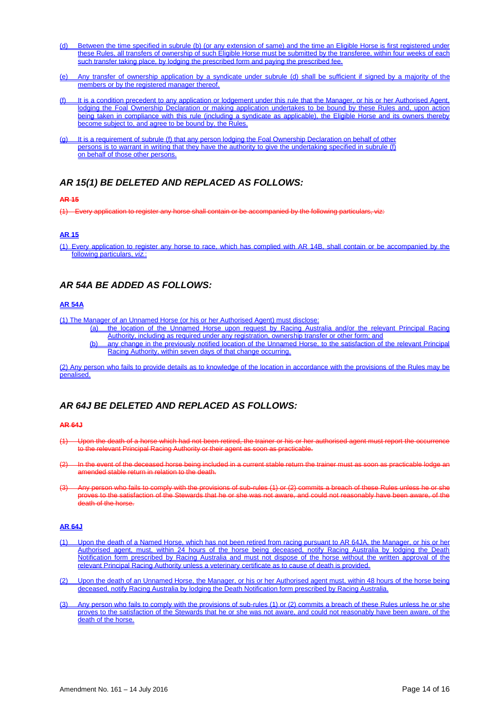- (d) Between the time specified in subrule (b) (or any extension of same) and the time an Eligible Horse is first registered under these Rules, all transfers of ownership of such Eligible Horse must be submitted by the transferee, within four weeks of each such transfer taking place, by lodging the prescribed form and paying the prescribed fee.
- (e) Any transfer of ownership application by a syndicate under subrule (d) shall be sufficient if signed by a majority of the members or by the registered manager thereof.
- (f) It is a condition precedent to any application or lodgement under this rule that the Manager, or his or her Authorised Agent, lodging the Foal Ownership Declaration or making application undertakes to be bound by these Rules and, upon action being taken in compliance with this rule (including a syndicate as applicable), the Eligible Horse and its owners thereby become subject to, and agree to be bound by, the Rules.
- (g) It is a requirement of subrule (f) that any person lodging the Foal Ownership Declaration on behalf of other persons is to warrant in writing that they have the authority to give the undertaking specified in subrule (f) on behalf of those other persons.

## *AR 15(1) BE DELETED AND REPLACED AS FOLLOWS:*

#### **AR 15**

(1) Every application to register any horse shall contain or be accompanied by the following particulars, viz:

#### **AR 15**

(1) Every application to register any horse to race, which has complied with AR 14B, shall contain or be accompanied by the following particulars, *viz.*:

## *AR 54A BE ADDED AS FOLLOWS:*

#### **AR 54A**

(1) The Manager of an Unnamed Horse (or his or her Authorised Agent) must disclose:

- (a) the location of the Unnamed Horse upon request by Racing Australia and/or the relevant Principal Racing Authority, including as required under any registration, ownership transfer or other form; and
- (b) any change in the previously notified location of the Unnamed Horse, to the satisfaction of the relevant Principal Racing Authority, within seven days of that change occurring.

(2) Any person who fails to provide details as to knowledge of the location in accordance with the provisions of the Rules may be penalised.

## *AR 64J BE DELETED AND REPLACED AS FOLLOWS:*

#### **AR 64J**

- Upon the death of a horse which had not been retired, the trainer or his or her authorised agent must report the occurrence to the relevant Principal Racing Authority or their agent as soon as practicable.
- In the event of the deceased horse being included in a current stable return the trainer must as soon as practicable lodge an amended stable return in relation to the death.
- (3) Any person who fails to comply with the provisions of sub-rules (1) or (2) commits a breach of these Rules unless he or she proves to the satisfaction of the Stewards that he or she was not aware, and could not reasonably have been aware, of the .<br>death of the horse.

#### **AR 64J**

- (1) Upon the death of a Named Horse, which has not been retired from racing pursuant to AR 64JA, the Manager, or his or her Authorised agent, must, within 24 hours of the horse being deceased, notify Racing Australia by lodging the Death Notification form prescribed by Racing Australia and must not dispose of the horse without the written approval of the relevant Principal Racing Authority unless a veterinary certificate as to cause of death is provided.
- (2) Upon the death of an Unnamed Horse, the Manager, or his or her Authorised agent must, within 48 hours of the horse being deceased, notify Racing Australia by lodging the Death Notification form prescribed by Racing Australia.
- (3) Any person who fails to comply with the provisions of sub-rules (1) or (2) commits a breach of these Rules unless he or she proves to the satisfaction of the Stewards that he or she was not aware, and could not reasonably have been aware, of the death of the horse.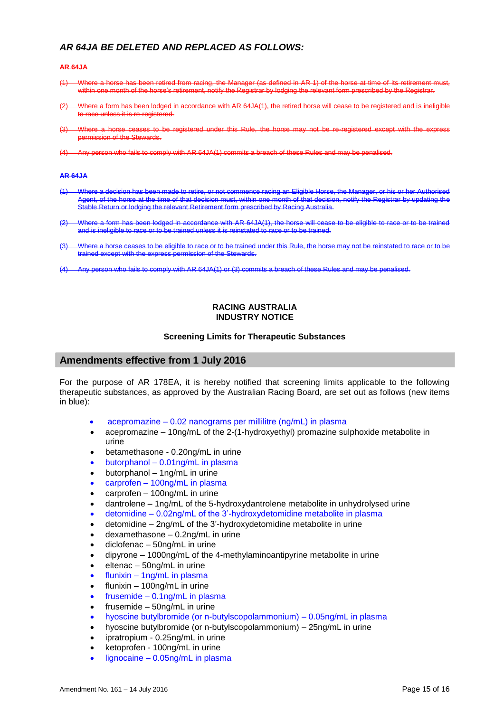## *AR 64JA BE DELETED AND REPLACED AS FOLLOWS:*

#### **AR 64JA**

- (1) Where a horse has been retired from racing, the Manager (as defined in AR 1) of the horse at time of its retirement must within one month of the horse's retirement, notify the Registrar by lodging the relevant form prescribed by the Registrar.
- Where a form has been lodged in accordance with AR 64JA(1), the retired horse will cease to be registered and is ineligible to race unless it is re-registered.
- Where a horse ceases to be registered under this Rule, the horse may not be re-registered except with the permission of the Stewards.
- Any person who fails to comply with AR 64JA(1) commits a breach

#### **AR 64JA**

- (1) Where a decision has been made to retire, or not commence racing an Eligible Horse, the Manager, or his or her Auth Agent, of the horse at the time of that decision must, within one month of that decision, notify the Registrar by updating the Stable Return or lodging the relevant Retirement form prescribed by Racing Australia.
- (2) Where a form has been lodged in accordance with AR 64JA(1), the horse will cease to be eligible to race or to be trained and is ineligible to race or to be trained unless it is reinstated to race or to be trained.
- (3) Where a horse ceases to be eligible to race or to be trained under this Rule, the horse may not be reinstated to race or to be trained except with the express permission of the Stewards.
- (4) Any person who fails to comply with AR 64JA(1) or (3) commits a breach of these Rules and may be penalised.

#### **RACING AUSTRALIA INDUSTRY NOTICE**

#### **Screening Limits for Therapeutic Substances**

#### **Amendments effective from 1 July 2016**

For the purpose of AR 178EA, it is hereby notified that screening limits applicable to the following therapeutic substances, as approved by the Australian Racing Board, are set out as follows (new items in blue):

- acepromazine 0.02 nanograms per millilitre (ng/mL) in plasma
- acepromazine 10ng/mL of the 2-(1-hydroxyethyl) promazine sulphoxide metabolite in urine
- betamethasone 0.20ng/mL in urine
- butorphanol 0.01ng/mL in plasma
- butorphanol 1ng/mL in urine
- carprofen 100ng/mL in plasma
- carprofen 100ng/mL in urine
- dantrolene 1ng/mL of the 5-hydroxydantrolene metabolite in unhydrolysed urine
- detomidine 0.02ng/mL of the 3'-hydroxydetomidine metabolite in plasma
- detomidine 2ng/mL of the 3'-hydroxydetomidine metabolite in urine
- $\bullet$  dexamethasone  $-0.2$ ng/mL in urine
- diclofenac 50ng/mL in urine
- dipyrone 1000ng/mL of the 4-methylaminoantipyrine metabolite in urine
- $\bullet$  eltenac 50ng/mL in urine
- flunixin 1ng/mL in plasma
- flunixin 100ng/mL in urine
- frusemide 0.1ng/mL in plasma
- frusemide 50ng/mL in urine
- hyoscine butylbromide (or n-butylscopolammonium) 0.05ng/mL in plasma
- hyoscine butylbromide (or n-butylscopolammonium) 25ng/mL in urine
- ipratropium 0.25ng/mL in urine
- ketoprofen 100ng/mL in urine
- lignocaine 0.05ng/mL in plasma